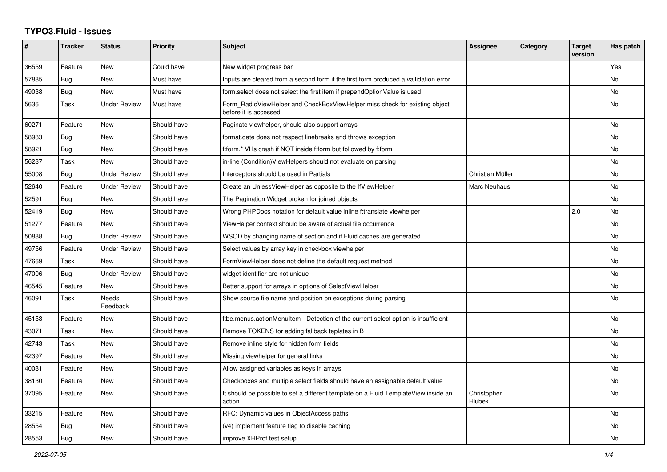## **TYPO3.Fluid - Issues**

| #     | <b>Tracker</b> | <b>Status</b>       | <b>Priority</b> | <b>Subject</b>                                                                                       | Assignee                     | Category | <b>Target</b><br>version | Has patch |
|-------|----------------|---------------------|-----------------|------------------------------------------------------------------------------------------------------|------------------------------|----------|--------------------------|-----------|
| 36559 | Feature        | <b>New</b>          | Could have      | New widget progress bar                                                                              |                              |          |                          | Yes       |
| 57885 | Bug            | New                 | Must have       | Inputs are cleared from a second form if the first form produced a vallidation error                 |                              |          |                          | No        |
| 49038 | <b>Bug</b>     | New                 | Must have       | form.select does not select the first item if prependOptionValue is used                             |                              |          |                          | No        |
| 5636  | Task           | <b>Under Review</b> | Must have       | Form RadioViewHelper and CheckBoxViewHelper miss check for existing object<br>before it is accessed. |                              |          |                          | No        |
| 60271 | Feature        | <b>New</b>          | Should have     | Paginate viewhelper, should also support arrays                                                      |                              |          |                          | <b>No</b> |
| 58983 | <b>Bug</b>     | <b>New</b>          | Should have     | format.date does not respect linebreaks and throws exception                                         |                              |          |                          | <b>No</b> |
| 58921 | <b>Bug</b>     | New                 | Should have     | f:form.* VHs crash if NOT inside f:form but followed by f:form                                       |                              |          |                          | No        |
| 56237 | Task           | New                 | Should have     | in-line (Condition) View Helpers should not evaluate on parsing                                      |                              |          |                          | No        |
| 55008 | Bug            | <b>Under Review</b> | Should have     | Interceptors should be used in Partials                                                              | Christian Müller             |          |                          | <b>No</b> |
| 52640 | Feature        | <b>Under Review</b> | Should have     | Create an UnlessViewHelper as opposite to the IfViewHelper                                           | Marc Neuhaus                 |          |                          | <b>No</b> |
| 52591 | <b>Bug</b>     | <b>New</b>          | Should have     | The Pagination Widget broken for joined objects                                                      |                              |          |                          | <b>No</b> |
| 52419 | Bug            | New                 | Should have     | Wrong PHPDocs notation for default value inline f:translate viewhelper                               |                              |          | 2.0                      | No        |
| 51277 | Feature        | New                 | Should have     | ViewHelper context should be aware of actual file occurrence                                         |                              |          |                          | <b>No</b> |
| 50888 | <b>Bug</b>     | <b>Under Review</b> | Should have     | WSOD by changing name of section and if Fluid caches are generated                                   |                              |          |                          | No        |
| 49756 | Feature        | <b>Under Review</b> | Should have     | Select values by array key in checkbox viewhelper                                                    |                              |          |                          | <b>No</b> |
| 47669 | Task           | <b>New</b>          | Should have     | FormViewHelper does not define the default request method                                            |                              |          |                          | No        |
| 47006 | Bug            | Under Review        | Should have     | widget identifier are not unique                                                                     |                              |          |                          | <b>No</b> |
| 46545 | Feature        | <b>New</b>          | Should have     | Better support for arrays in options of SelectViewHelper                                             |                              |          |                          | <b>No</b> |
| 46091 | Task           | Needs<br>Feedback   | Should have     | Show source file name and position on exceptions during parsing                                      |                              |          |                          | No        |
| 45153 | Feature        | New                 | Should have     | f:be.menus.actionMenuItem - Detection of the current select option is insufficient                   |                              |          |                          | No        |
| 43071 | Task           | New                 | Should have     | Remove TOKENS for adding fallback teplates in B                                                      |                              |          |                          | No        |
| 42743 | Task           | <b>New</b>          | Should have     | Remove inline style for hidden form fields                                                           |                              |          |                          | <b>No</b> |
| 42397 | Feature        | <b>New</b>          | Should have     | Missing viewhelper for general links                                                                 |                              |          |                          | <b>No</b> |
| 40081 | Feature        | New                 | Should have     | Allow assigned variables as keys in arrays                                                           |                              |          |                          | No        |
| 38130 | Feature        | New                 | Should have     | Checkboxes and multiple select fields should have an assignable default value                        |                              |          |                          | No        |
| 37095 | Feature        | <b>New</b>          | Should have     | It should be possible to set a different template on a Fluid TemplateView inside an<br>action        | Christopher<br><b>Hlubek</b> |          |                          | <b>No</b> |
| 33215 | Feature        | <b>New</b>          | Should have     | RFC: Dynamic values in ObjectAccess paths                                                            |                              |          |                          | <b>No</b> |
| 28554 | Bug            | New                 | Should have     | (v4) implement feature flag to disable caching                                                       |                              |          |                          | No        |
| 28553 | <b>Bug</b>     | New                 | Should have     | improve XHProf test setup                                                                            |                              |          |                          | No        |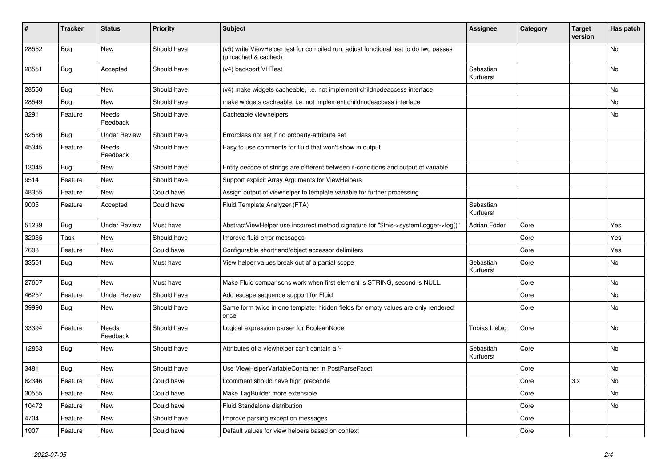| ∦     | <b>Tracker</b> | <b>Status</b>            | <b>Priority</b> | <b>Subject</b>                                                                                              | <b>Assignee</b>        | Category | <b>Target</b><br>version | Has patch |
|-------|----------------|--------------------------|-----------------|-------------------------------------------------------------------------------------------------------------|------------------------|----------|--------------------------|-----------|
| 28552 | Bug            | <b>New</b>               | Should have     | (v5) write ViewHelper test for compiled run; adjust functional test to do two passes<br>(uncached & cached) |                        |          |                          | <b>No</b> |
| 28551 | Bug            | Accepted                 | Should have     | (v4) backport VHTest                                                                                        | Sebastian<br>Kurfuerst |          |                          | No        |
| 28550 | <b>Bug</b>     | New                      | Should have     | (v4) make widgets cacheable, i.e. not implement childnodeaccess interface                                   |                        |          |                          | No        |
| 28549 | Bug            | New                      | Should have     | make widgets cacheable, i.e. not implement childnodeaccess interface                                        |                        |          |                          | No        |
| 3291  | Feature        | Needs<br>Feedback        | Should have     | Cacheable viewhelpers                                                                                       |                        |          |                          | No        |
| 52536 | <b>Bug</b>     | <b>Under Review</b>      | Should have     | Errorclass not set if no property-attribute set                                                             |                        |          |                          |           |
| 45345 | Feature        | <b>Needs</b><br>Feedback | Should have     | Easy to use comments for fluid that won't show in output                                                    |                        |          |                          |           |
| 13045 | Bug            | New                      | Should have     | Entity decode of strings are different between if-conditions and output of variable                         |                        |          |                          |           |
| 9514  | Feature        | New                      | Should have     | Support explicit Array Arguments for ViewHelpers                                                            |                        |          |                          |           |
| 48355 | Feature        | New                      | Could have      | Assign output of viewhelper to template variable for further processing.                                    |                        |          |                          |           |
| 9005  | Feature        | Accepted                 | Could have      | Fluid Template Analyzer (FTA)                                                                               | Sebastian<br>Kurfuerst |          |                          |           |
| 51239 | Bug            | <b>Under Review</b>      | Must have       | AbstractViewHelper use incorrect method signature for "\$this->systemLogger->log()"                         | Adrian Föder           | Core     |                          | Yes       |
| 32035 | Task           | New                      | Should have     | Improve fluid error messages                                                                                |                        | Core     |                          | Yes       |
| 7608  | Feature        | New                      | Could have      | Configurable shorthand/object accessor delimiters                                                           |                        | Core     |                          | Yes       |
| 33551 | Bug            | New                      | Must have       | View helper values break out of a partial scope                                                             | Sebastian<br>Kurfuerst | Core     |                          | No        |
| 27607 | Bug            | New                      | Must have       | Make Fluid comparisons work when first element is STRING, second is NULL.                                   |                        | Core     |                          | No        |
| 46257 | Feature        | Under Review             | Should have     | Add escape sequence support for Fluid                                                                       |                        | Core     |                          | No        |
| 39990 | <b>Bug</b>     | New                      | Should have     | Same form twice in one template: hidden fields for empty values are only rendered<br>once                   |                        | Core     |                          | No        |
| 33394 | Feature        | Needs<br>Feedback        | Should have     | Logical expression parser for BooleanNode                                                                   | Tobias Liebig          | Core     |                          | No        |
| 12863 | Bug            | New                      | Should have     | Attributes of a viewhelper can't contain a '-'                                                              | Sebastian<br>Kurfuerst | Core     |                          | <b>No</b> |
| 3481  | Bug            | New                      | Should have     | Use ViewHelperVariableContainer in PostParseFacet                                                           |                        | Core     |                          | No        |
| 62346 | Feature        | New                      | Could have      | f:comment should have high precende                                                                         |                        | Core     | 3.x                      | No        |
| 30555 | Feature        | New                      | Could have      | Make TagBuilder more extensible                                                                             |                        | Core     |                          | No        |
| 10472 | Feature        | New                      | Could have      | Fluid Standalone distribution                                                                               |                        | Core     |                          | No        |
| 4704  | Feature        | New                      | Should have     | Improve parsing exception messages                                                                          |                        | Core     |                          |           |
| 1907  | Feature        | New                      | Could have      | Default values for view helpers based on context                                                            |                        | Core     |                          |           |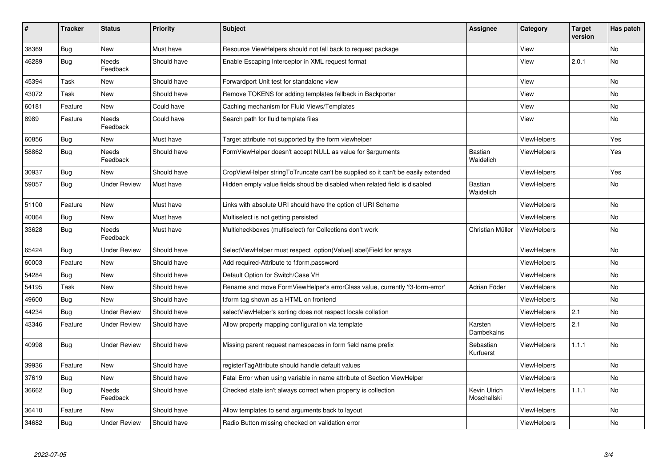| $\pmb{\#}$ | <b>Tracker</b> | <b>Status</b>            | <b>Priority</b> | <b>Subject</b>                                                                   | <b>Assignee</b>             | Category           | <b>Target</b><br>version | Has patch |
|------------|----------------|--------------------------|-----------------|----------------------------------------------------------------------------------|-----------------------------|--------------------|--------------------------|-----------|
| 38369      | Bug            | <b>New</b>               | Must have       | Resource ViewHelpers should not fall back to request package                     |                             | View               |                          | <b>No</b> |
| 46289      | Bug            | Needs<br>Feedback        | Should have     | Enable Escaping Interceptor in XML request format                                |                             | View               | 2.0.1                    | No        |
| 45394      | Task           | New                      | Should have     | Forwardport Unit test for standalone view                                        |                             | View               |                          | No        |
| 43072      | Task           | New                      | Should have     | Remove TOKENS for adding templates fallback in Backporter                        |                             | View               |                          | No        |
| 60181      | Feature        | New                      | Could have      | Caching mechanism for Fluid Views/Templates                                      |                             | View               |                          | No        |
| 8989       | Feature        | Needs<br>Feedback        | Could have      | Search path for fluid template files                                             |                             | View               |                          | No        |
| 60856      | Bug            | <b>New</b>               | Must have       | Target attribute not supported by the form viewhelper                            |                             | ViewHelpers        |                          | Yes       |
| 58862      | Bug            | Needs<br>Feedback        | Should have     | FormViewHelper doesn't accept NULL as value for \$arguments                      | <b>Bastian</b><br>Waidelich | <b>ViewHelpers</b> |                          | Yes       |
| 30937      | <b>Bug</b>     | New                      | Should have     | CropViewHelper stringToTruncate can't be supplied so it can't be easily extended |                             | ViewHelpers        |                          | Yes       |
| 59057      | Bug            | <b>Under Review</b>      | Must have       | Hidden empty value fields shoud be disabled when related field is disabled       | Bastian<br>Waidelich        | <b>ViewHelpers</b> |                          | No        |
| 51100      | Feature        | New                      | Must have       | Links with absolute URI should have the option of URI Scheme                     |                             | ViewHelpers        |                          | No        |
| 40064      | Bug            | New                      | Must have       | Multiselect is not getting persisted                                             |                             | <b>ViewHelpers</b> |                          | <b>No</b> |
| 33628      | Bug            | <b>Needs</b><br>Feedback | Must have       | Multicheckboxes (multiselect) for Collections don't work                         | Christian Müller            | ViewHelpers        |                          | <b>No</b> |
| 65424      | Bug            | <b>Under Review</b>      | Should have     | SelectViewHelper must respect option(Value Label)Field for arrays                |                             | <b>ViewHelpers</b> |                          | <b>No</b> |
| 60003      | Feature        | <b>New</b>               | Should have     | Add required-Attribute to f:form.password                                        |                             | <b>ViewHelpers</b> |                          | <b>No</b> |
| 54284      | Bug            | New                      | Should have     | Default Option for Switch/Case VH                                                |                             | ViewHelpers        |                          | <b>No</b> |
| 54195      | Task           | <b>New</b>               | Should have     | Rename and move FormViewHelper's errorClass value, currently 'f3-form-error'     | Adrian Föder                | ViewHelpers        |                          | <b>No</b> |
| 49600      | Bug            | <b>New</b>               | Should have     | f:form tag shown as a HTML on frontend                                           |                             | <b>ViewHelpers</b> |                          | <b>No</b> |
| 44234      | Bug            | <b>Under Review</b>      | Should have     | selectViewHelper's sorting does not respect locale collation                     |                             | ViewHelpers        | 2.1                      | No        |
| 43346      | Feature        | <b>Under Review</b>      | Should have     | Allow property mapping configuration via template                                | Karsten<br>Dambekalns       | ViewHelpers        | 2.1                      | <b>No</b> |
| 40998      | Bug            | <b>Under Review</b>      | Should have     | Missing parent request namespaces in form field name prefix                      | Sebastian<br>Kurfuerst      | ViewHelpers        | 1.1.1                    | No        |
| 39936      | Feature        | New                      | Should have     | registerTagAttribute should handle default values                                |                             | ViewHelpers        |                          | No        |
| 37619      | Bug            | New                      | Should have     | Fatal Error when using variable in name attribute of Section ViewHelper          |                             | <b>ViewHelpers</b> |                          | No        |
| 36662      | Bug            | <b>Needs</b><br>Feedback | Should have     | Checked state isn't always correct when property is collection                   | Kevin Ulrich<br>Moschallski | <b>ViewHelpers</b> | 1.1.1                    | <b>No</b> |
| 36410      | Feature        | New                      | Should have     | Allow templates to send arguments back to layout                                 |                             | <b>ViewHelpers</b> |                          | No        |
| 34682      | <b>Bug</b>     | <b>Under Review</b>      | Should have     | Radio Button missing checked on validation error                                 |                             | ViewHelpers        |                          | <b>No</b> |